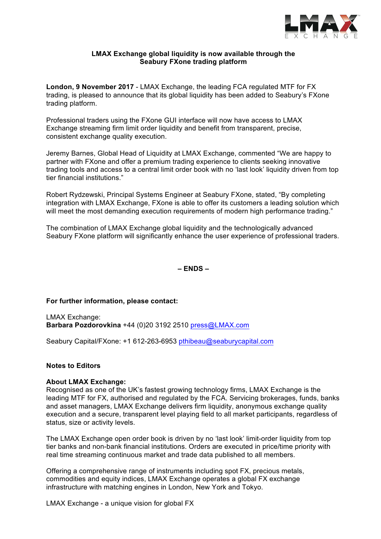

# **LMAX Exchange global liquidity is now available through the Seabury FXone trading platform**

**London, 9 November 2017** - LMAX Exchange, the leading FCA regulated MTF for FX trading, is pleased to announce that its global liquidity has been added to Seabury's FXone trading platform.

Professional traders using the FXone GUI interface will now have access to LMAX Exchange streaming firm limit order liquidity and benefit from transparent, precise, consistent exchange quality execution.

Jeremy Barnes, Global Head of Liquidity at LMAX Exchange, commented "We are happy to partner with FXone and offer a premium trading experience to clients seeking innovative trading tools and access to a central limit order book with no 'last look' liquidity driven from top tier financial institutions."

Robert Rydzewski, Principal Systems Engineer at Seabury FXone, stated, "By completing integration with LMAX Exchange, FXone is able to offer its customers a leading solution which will meet the most demanding execution requirements of modern high performance trading."

The combination of LMAX Exchange global liquidity and the technologically advanced Seabury FXone platform will significantly enhance the user experience of professional traders.

**– ENDS –**

### **For further information, please contact:**

LMAX Exchange: **Barbara Pozdorovkina** +44 (0)20 3192 2510 press@LMAX.com

Seabury Capital/FXone: +1 612-263-6953 pthibeau@seaburycapital.com

### **Notes to Editors**

### **About LMAX Exchange:**

Recognised as one of the UK's fastest growing technology firms, LMAX Exchange is the leading MTF for FX, authorised and regulated by the FCA. Servicing brokerages, funds, banks and asset managers, LMAX Exchange delivers firm liquidity, anonymous exchange quality execution and a secure, transparent level playing field to all market participants, regardless of status, size or activity levels.

The LMAX Exchange open order book is driven by no 'last look' limit-order liquidity from top tier banks and non-bank financial institutions. Orders are executed in price/time priority with real time streaming continuous market and trade data published to all members.

Offering a comprehensive range of instruments including spot FX, precious metals, commodities and equity indices, LMAX Exchange operates a global FX exchange infrastructure with matching engines in London, New York and Tokyo.

LMAX Exchange - a unique vision for global FX